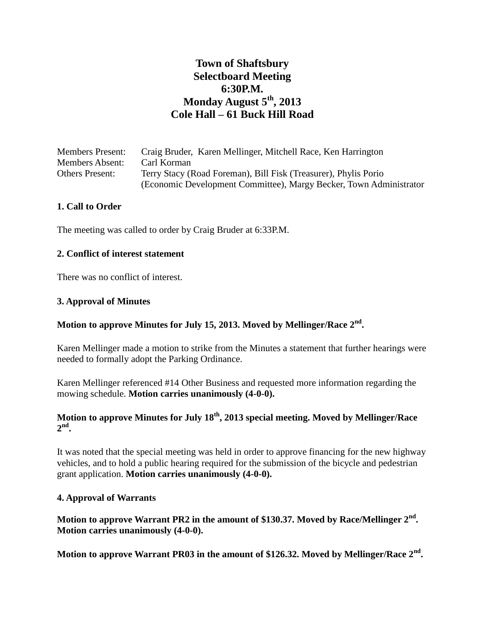# **Town of Shaftsbury Selectboard Meeting 6:30P.M. Monday August 5th, 2013 Cole Hall – 61 Buck Hill Road**

| <b>Members Present:</b> | Craig Bruder, Karen Mellinger, Mitchell Race, Ken Harrington       |
|-------------------------|--------------------------------------------------------------------|
| <b>Members Absent:</b>  | Carl Korman                                                        |
| <b>Others Present:</b>  | Terry Stacy (Road Foreman), Bill Fisk (Treasurer), Phylis Porio    |
|                         | (Economic Development Committee), Margy Becker, Town Administrator |

#### **1. Call to Order**

The meeting was called to order by Craig Bruder at 6:33P.M.

#### **2. Conflict of interest statement**

There was no conflict of interest.

#### **3. Approval of Minutes**

# **Motion to approve Minutes for July 15, 2013. Moved by Mellinger/Race 2nd .**

Karen Mellinger made a motion to strike from the Minutes a statement that further hearings were needed to formally adopt the Parking Ordinance.

Karen Mellinger referenced #14 Other Business and requested more information regarding the mowing schedule. **Motion carries unanimously (4-0-0).**

### **Motion to approve Minutes for July 18th, 2013 special meeting. Moved by Mellinger/Race 2 nd .**

It was noted that the special meeting was held in order to approve financing for the new highway vehicles, and to hold a public hearing required for the submission of the bicycle and pedestrian grant application. **Motion carries unanimously (4-0-0).**

#### **4. Approval of Warrants**

**Motion to approve Warrant PR2 in the amount of \$130.37. Moved by Race/Mellinger 2nd . Motion carries unanimously (4-0-0).**

**Motion to approve Warrant PR03 in the amount of \$126.32. Moved by Mellinger/Race 2nd .**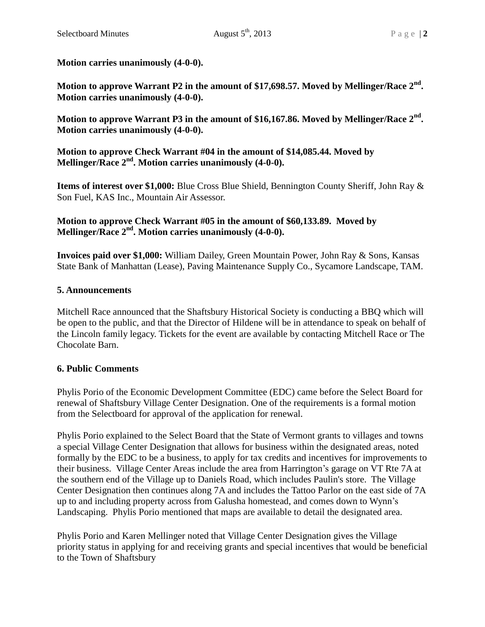**Motion carries unanimously (4-0-0).**

**Motion to approve Warrant P2 in the amount of \$17,698.57. Moved by Mellinger/Race 2nd . Motion carries unanimously (4-0-0).**

**Motion to approve Warrant P3 in the amount of \$16,167.86. Moved by Mellinger/Race 2nd . Motion carries unanimously (4-0-0).**

**Motion to approve Check Warrant #04 in the amount of \$14,085.44. Moved by Mellinger/Race 2nd. Motion carries unanimously (4-0-0).**

**Items of interest over \$1,000:** Blue Cross Blue Shield, Bennington County Sheriff, John Ray & Son Fuel, KAS Inc., Mountain Air Assessor.

### **Motion to approve Check Warrant #05 in the amount of \$60,133.89. Moved by Mellinger/Race 2nd. Motion carries unanimously (4-0-0).**

**Invoices paid over \$1,000:** William Dailey, Green Mountain Power, John Ray & Sons, Kansas State Bank of Manhattan (Lease), Paving Maintenance Supply Co., Sycamore Landscape, TAM.

### **5. Announcements**

Mitchell Race announced that the Shaftsbury Historical Society is conducting a BBQ which will be open to the public, and that the Director of Hildene will be in attendance to speak on behalf of the Lincoln family legacy. Tickets for the event are available by contacting Mitchell Race or The Chocolate Barn.

# **6. Public Comments**

Phylis Porio of the Economic Development Committee (EDC) came before the Select Board for renewal of Shaftsbury Village Center Designation. One of the requirements is a formal motion from the Selectboard for approval of the application for renewal.

Phylis Porio explained to the Select Board that the State of Vermont grants to villages and towns a special Village Center Designation that allows for business within the designated areas, noted formally by the EDC to be a business, to apply for tax credits and incentives for improvements to their business. Village Center Areas include the area from Harrington's garage on VT Rte 7A at the southern end of the Village up to Daniels Road, which includes Paulin's store. The Village Center Designation then continues along 7A and includes the Tattoo Parlor on the east side of 7A up to and including property across from Galusha homestead, and comes down to Wynn's Landscaping. Phylis Porio mentioned that maps are available to detail the designated area.

Phylis Porio and Karen Mellinger noted that Village Center Designation gives the Village priority status in applying for and receiving grants and special incentives that would be beneficial to the Town of Shaftsbury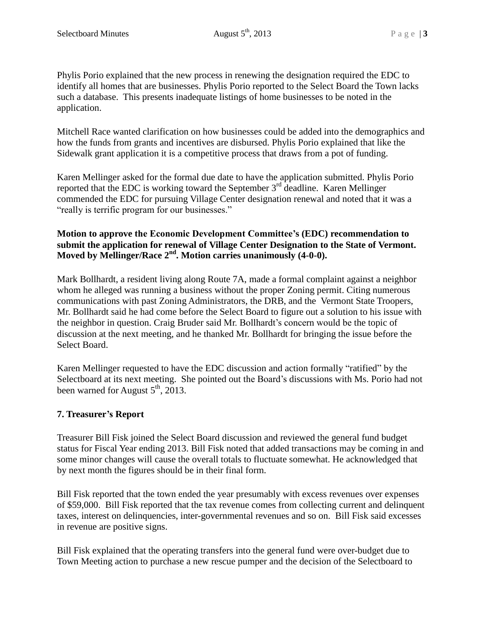Phylis Porio explained that the new process in renewing the designation required the EDC to identify all homes that are businesses. Phylis Porio reported to the Select Board the Town lacks such a database. This presents inadequate listings of home businesses to be noted in the application.

Mitchell Race wanted clarification on how businesses could be added into the demographics and how the funds from grants and incentives are disbursed. Phylis Porio explained that like the Sidewalk grant application it is a competitive process that draws from a pot of funding.

Karen Mellinger asked for the formal due date to have the application submitted. Phylis Porio reported that the EDC is working toward the September 3<sup>rd</sup> deadline. Karen Mellinger commended the EDC for pursuing Village Center designation renewal and noted that it was a "really is terrific program for our businesses."

### **Motion to approve the Economic Development Committee's (EDC) recommendation to submit the application for renewal of Village Center Designation to the State of Vermont. Moved by Mellinger/Race 2nd. Motion carries unanimously (4-0-0).**

Mark Bollhardt, a resident living along Route 7A, made a formal complaint against a neighbor whom he alleged was running a business without the proper Zoning permit. Citing numerous communications with past Zoning Administrators, the DRB, and the Vermont State Troopers, Mr. Bollhardt said he had come before the Select Board to figure out a solution to his issue with the neighbor in question. Craig Bruder said Mr. Bollhardt's concern would be the topic of discussion at the next meeting, and he thanked Mr. Bollhardt for bringing the issue before the Select Board.

Karen Mellinger requested to have the EDC discussion and action formally "ratified" by the Selectboard at its next meeting. She pointed out the Board's discussions with Ms. Porio had not been warned for August  $5<sup>th</sup>$ , 2013.

# **7. Treasurer's Report**

Treasurer Bill Fisk joined the Select Board discussion and reviewed the general fund budget status for Fiscal Year ending 2013. Bill Fisk noted that added transactions may be coming in and some minor changes will cause the overall totals to fluctuate somewhat. He acknowledged that by next month the figures should be in their final form.

Bill Fisk reported that the town ended the year presumably with excess revenues over expenses of \$59,000. Bill Fisk reported that the tax revenue comes from collecting current and delinquent taxes, interest on delinquencies, inter-governmental revenues and so on. Bill Fisk said excesses in revenue are positive signs.

Bill Fisk explained that the operating transfers into the general fund were over-budget due to Town Meeting action to purchase a new rescue pumper and the decision of the Selectboard to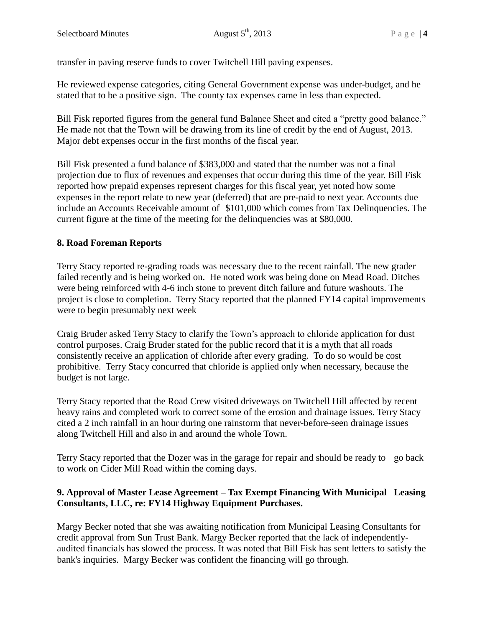transfer in paving reserve funds to cover Twitchell Hill paving expenses.

He reviewed expense categories, citing General Government expense was under-budget, and he stated that to be a positive sign. The county tax expenses came in less than expected.

Bill Fisk reported figures from the general fund Balance Sheet and cited a "pretty good balance." He made not that the Town will be drawing from its line of credit by the end of August, 2013. Major debt expenses occur in the first months of the fiscal year.

Bill Fisk presented a fund balance of \$383,000 and stated that the number was not a final projection due to flux of revenues and expenses that occur during this time of the year. Bill Fisk reported how prepaid expenses represent charges for this fiscal year, yet noted how some expenses in the report relate to new year (deferred) that are pre-paid to next year. Accounts due include an Accounts Receivable amount of \$101,000 which comes from Tax Delinquencies. The current figure at the time of the meeting for the delinquencies was at \$80,000.

# **8. Road Foreman Reports**

Terry Stacy reported re-grading roads was necessary due to the recent rainfall. The new grader failed recently and is being worked on. He noted work was being done on Mead Road. Ditches were being reinforced with 4-6 inch stone to prevent ditch failure and future washouts. The project is close to completion. Terry Stacy reported that the planned FY14 capital improvements were to begin presumably next week

Craig Bruder asked Terry Stacy to clarify the Town's approach to chloride application for dust control purposes. Craig Bruder stated for the public record that it is a myth that all roads consistently receive an application of chloride after every grading. To do so would be cost prohibitive. Terry Stacy concurred that chloride is applied only when necessary, because the budget is not large.

Terry Stacy reported that the Road Crew visited driveways on Twitchell Hill affected by recent heavy rains and completed work to correct some of the erosion and drainage issues. Terry Stacy cited a 2 inch rainfall in an hour during one rainstorm that never-before-seen drainage issues along Twitchell Hill and also in and around the whole Town.

Terry Stacy reported that the Dozer was in the garage for repair and should be ready to go back to work on Cider Mill Road within the coming days.

### **9. Approval of Master Lease Agreement – Tax Exempt Financing With Municipal Leasing Consultants, LLC, re: FY14 Highway Equipment Purchases.**

Margy Becker noted that she was awaiting notification from Municipal Leasing Consultants for credit approval from Sun Trust Bank. Margy Becker reported that the lack of independentlyaudited financials has slowed the process. It was noted that Bill Fisk has sent letters to satisfy the bank's inquiries. Margy Becker was confident the financing will go through.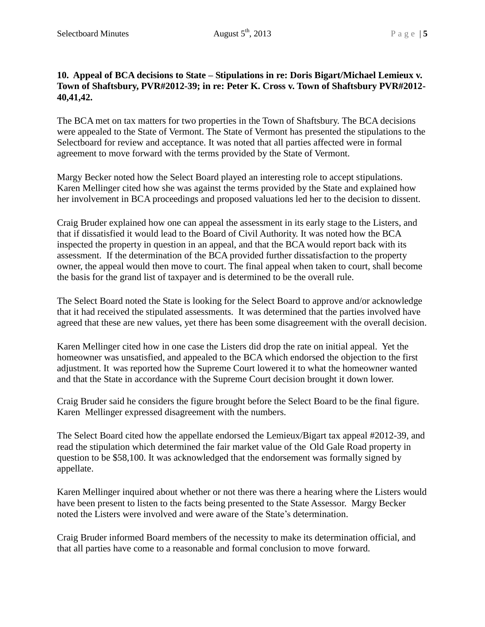### **10. Appeal of BCA decisions to State – Stipulations in re: Doris Bigart/Michael Lemieux v. Town of Shaftsbury, PVR#2012-39; in re: Peter K. Cross v. Town of Shaftsbury PVR#2012- 40,41,42.**

The BCA met on tax matters for two properties in the Town of Shaftsbury. The BCA decisions were appealed to the State of Vermont. The State of Vermont has presented the stipulations to the Selectboard for review and acceptance. It was noted that all parties affected were in formal agreement to move forward with the terms provided by the State of Vermont.

Margy Becker noted how the Select Board played an interesting role to accept stipulations. Karen Mellinger cited how she was against the terms provided by the State and explained how her involvement in BCA proceedings and proposed valuations led her to the decision to dissent.

Craig Bruder explained how one can appeal the assessment in its early stage to the Listers, and that if dissatisfied it would lead to the Board of Civil Authority. It was noted how the BCA inspected the property in question in an appeal, and that the BCA would report back with its assessment. If the determination of the BCA provided further dissatisfaction to the property owner, the appeal would then move to court. The final appeal when taken to court, shall become the basis for the grand list of taxpayer and is determined to be the overall rule.

The Select Board noted the State is looking for the Select Board to approve and/or acknowledge that it had received the stipulated assessments. It was determined that the parties involved have agreed that these are new values, yet there has been some disagreement with the overall decision.

Karen Mellinger cited how in one case the Listers did drop the rate on initial appeal. Yet the homeowner was unsatisfied, and appealed to the BCA which endorsed the objection to the first adjustment. It was reported how the Supreme Court lowered it to what the homeowner wanted and that the State in accordance with the Supreme Court decision brought it down lower.

Craig Bruder said he considers the figure brought before the Select Board to be the final figure. Karen Mellinger expressed disagreement with the numbers.

The Select Board cited how the appellate endorsed the Lemieux/Bigart tax appeal #2012-39, and read the stipulation which determined the fair market value of the Old Gale Road property in question to be \$58,100. It was acknowledged that the endorsement was formally signed by appellate.

Karen Mellinger inquired about whether or not there was there a hearing where the Listers would have been present to listen to the facts being presented to the State Assessor. Margy Becker noted the Listers were involved and were aware of the State's determination.

Craig Bruder informed Board members of the necessity to make its determination official, and that all parties have come to a reasonable and formal conclusion to move forward.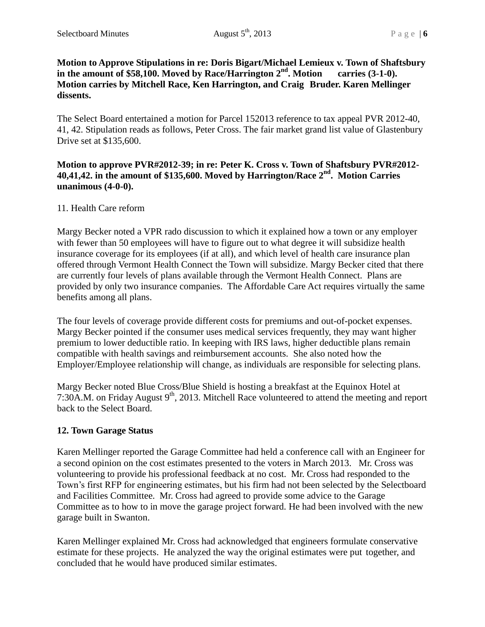#### **Motion to Approve Stipulations in re: Doris Bigart/Michael Lemieux v. Town of Shaftsbury in the amount of \$58,100. Moved by Race/Harrington 2nd. Motion carries (3-1-0). Motion carries by Mitchell Race, Ken Harrington, and Craig Bruder. Karen Mellinger dissents.**

The Select Board entertained a motion for Parcel 152013 reference to tax appeal PVR 2012-40, 41, 42. Stipulation reads as follows, Peter Cross. The fair market grand list value of Glastenbury Drive set at \$135,600.

### **Motion to approve PVR#2012-39; in re: Peter K. Cross v. Town of Shaftsbury PVR#2012- 40,41,42. in the amount of \$135,600. Moved by Harrington/Race 2nd . Motion Carries unanimous (4-0-0).**

### 11. Health Care reform

Margy Becker noted a VPR rado discussion to which it explained how a town or any employer with fewer than 50 employees will have to figure out to what degree it will subsidize health insurance coverage for its employees (if at all), and which level of health care insurance plan offered through Vermont Health Connect the Town will subsidize. Margy Becker cited that there are currently four levels of plans available through the Vermont Health Connect. Plans are provided by only two insurance companies. The Affordable Care Act requires virtually the same benefits among all plans.

The four levels of coverage provide different costs for premiums and out-of-pocket expenses. Margy Becker pointed if the consumer uses medical services frequently, they may want higher premium to lower deductible ratio. In keeping with IRS laws, higher deductible plans remain compatible with health savings and reimbursement accounts. She also noted how the Employer/Employee relationship will change, as individuals are responsible for selecting plans.

Margy Becker noted Blue Cross/Blue Shield is hosting a breakfast at the Equinox Hotel at 7:30A.M. on Friday August  $9<sup>th</sup>$ , 2013. Mitchell Race volunteered to attend the meeting and report back to the Select Board.

### **12. Town Garage Status**

Karen Mellinger reported the Garage Committee had held a conference call with an Engineer for a second opinion on the cost estimates presented to the voters in March 2013. Mr. Cross was volunteering to provide his professional feedback at no cost. Mr. Cross had responded to the Town's first RFP for engineering estimates, but his firm had not been selected by the Selectboard and Facilities Committee. Mr. Cross had agreed to provide some advice to the Garage Committee as to how to in move the garage project forward. He had been involved with the new garage built in Swanton.

Karen Mellinger explained Mr. Cross had acknowledged that engineers formulate conservative estimate for these projects. He analyzed the way the original estimates were put together, and concluded that he would have produced similar estimates.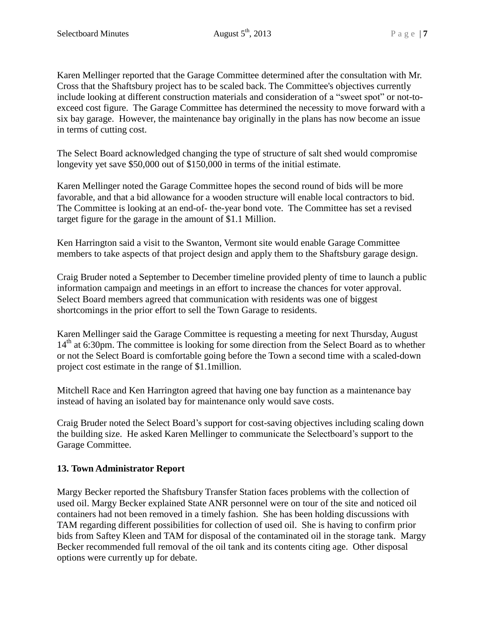Karen Mellinger reported that the Garage Committee determined after the consultation with Mr. Cross that the Shaftsbury project has to be scaled back. The Committee's objectives currently include looking at different construction materials and consideration of a "sweet spot" or not-toexceed cost figure. The Garage Committee has determined the necessity to move forward with a six bay garage. However, the maintenance bay originally in the plans has now become an issue in terms of cutting cost.

The Select Board acknowledged changing the type of structure of salt shed would compromise longevity yet save \$50,000 out of \$150,000 in terms of the initial estimate.

Karen Mellinger noted the Garage Committee hopes the second round of bids will be more favorable, and that a bid allowance for a wooden structure will enable local contractors to bid. The Committee is looking at an end-of- the-year bond vote. The Committee has set a revised target figure for the garage in the amount of \$1.1 Million.

Ken Harrington said a visit to the Swanton, Vermont site would enable Garage Committee members to take aspects of that project design and apply them to the Shaftsbury garage design.

Craig Bruder noted a September to December timeline provided plenty of time to launch a public information campaign and meetings in an effort to increase the chances for voter approval. Select Board members agreed that communication with residents was one of biggest shortcomings in the prior effort to sell the Town Garage to residents.

Karen Mellinger said the Garage Committee is requesting a meeting for next Thursday, August  $14<sup>th</sup>$  at 6:30pm. The committee is looking for some direction from the Select Board as to whether or not the Select Board is comfortable going before the Town a second time with a scaled-down project cost estimate in the range of \$1.1million.

Mitchell Race and Ken Harrington agreed that having one bay function as a maintenance bay instead of having an isolated bay for maintenance only would save costs.

Craig Bruder noted the Select Board's support for cost-saving objectives including scaling down the building size. He asked Karen Mellinger to communicate the Selectboard's support to the Garage Committee.

# **13. Town Administrator Report**

Margy Becker reported the Shaftsbury Transfer Station faces problems with the collection of used oil. Margy Becker explained State ANR personnel were on tour of the site and noticed oil containers had not been removed in a timely fashion. She has been holding discussions with TAM regarding different possibilities for collection of used oil. She is having to confirm prior bids from Saftey Kleen and TAM for disposal of the contaminated oil in the storage tank. Margy Becker recommended full removal of the oil tank and its contents citing age. Other disposal options were currently up for debate.